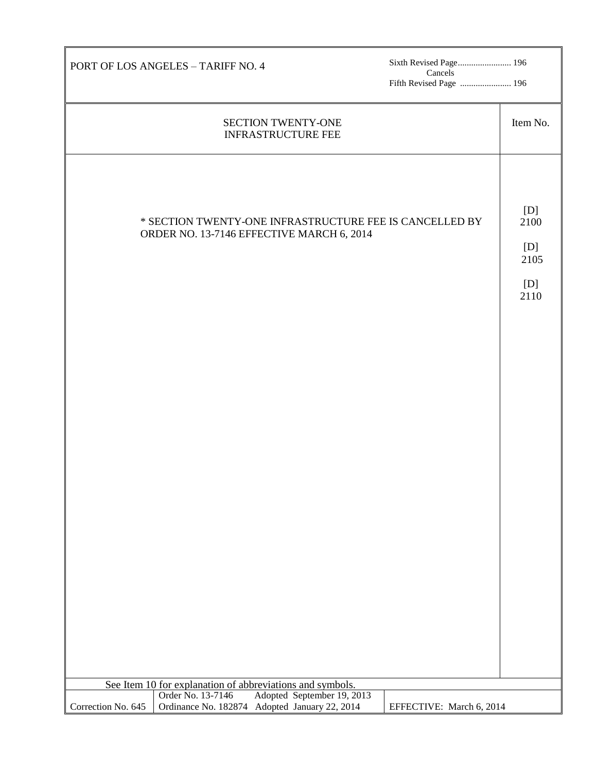| PORT OF LOS ANGELES - TARIFF NO. 4                                                                                                                 | Sixth Revised Page 196<br>Cancels<br>Fifth Revised Page  196 |                                           |  |  |  |
|----------------------------------------------------------------------------------------------------------------------------------------------------|--------------------------------------------------------------|-------------------------------------------|--|--|--|
| SECTION TWENTY-ONE<br><b>INFRASTRUCTURE FEE</b>                                                                                                    |                                                              | Item No.                                  |  |  |  |
| * SECTION TWENTY-ONE INFRASTRUCTURE FEE IS CANCELLED BY<br>ORDER NO. 13-7146 EFFECTIVE MARCH 6, 2014                                               |                                                              | [D]<br>2100<br>[D]<br>2105<br>[D]<br>2110 |  |  |  |
|                                                                                                                                                    |                                                              |                                           |  |  |  |
|                                                                                                                                                    |                                                              |                                           |  |  |  |
|                                                                                                                                                    |                                                              |                                           |  |  |  |
| See Item 10 for explanation of abbreviations and symbols.                                                                                          |                                                              |                                           |  |  |  |
| Adopted September 19, 2013<br>Order No. 13-7146<br>Correction No. 645<br>Ordinance No. 182874 Adopted January 22, 2014<br>EFFECTIVE: March 6, 2014 |                                                              |                                           |  |  |  |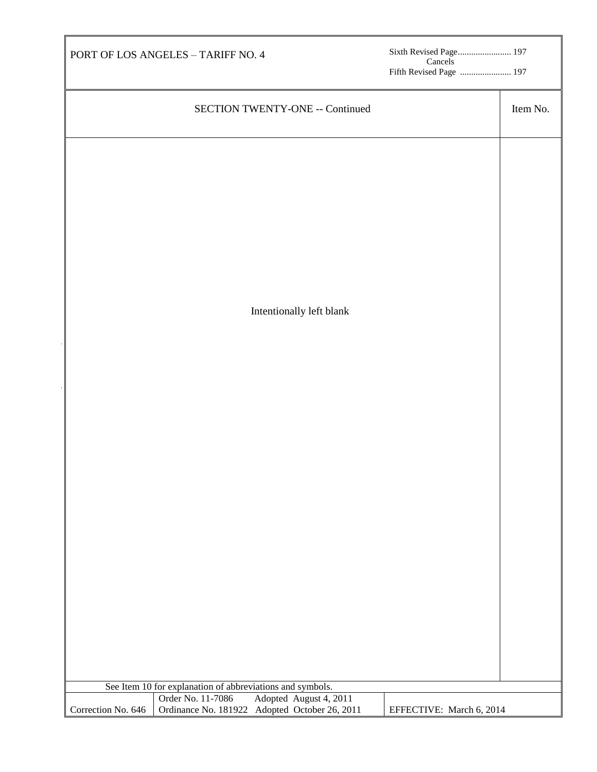| PORT OF LOS ANGELES - TARIFF NO. 4                                                                       | Cancels | Sixth Revised Page 197<br>Fifth Revised Page  197 |  |
|----------------------------------------------------------------------------------------------------------|---------|---------------------------------------------------|--|
| <b>SECTION TWENTY-ONE -- Continued</b>                                                                   |         | Item No.                                          |  |
|                                                                                                          |         |                                                   |  |
|                                                                                                          |         |                                                   |  |
|                                                                                                          |         |                                                   |  |
|                                                                                                          |         |                                                   |  |
|                                                                                                          |         |                                                   |  |
|                                                                                                          |         |                                                   |  |
| Intentionally left blank                                                                                 |         |                                                   |  |
|                                                                                                          |         |                                                   |  |
|                                                                                                          |         |                                                   |  |
|                                                                                                          |         |                                                   |  |
|                                                                                                          |         |                                                   |  |
|                                                                                                          |         |                                                   |  |
|                                                                                                          |         |                                                   |  |
|                                                                                                          |         |                                                   |  |
|                                                                                                          |         |                                                   |  |
|                                                                                                          |         |                                                   |  |
|                                                                                                          |         |                                                   |  |
|                                                                                                          |         |                                                   |  |
|                                                                                                          |         |                                                   |  |
| See Item 10 for explanation of abbreviations and symbols.<br>Adopted August 4, 2011<br>Order No. 11-7086 |         |                                                   |  |